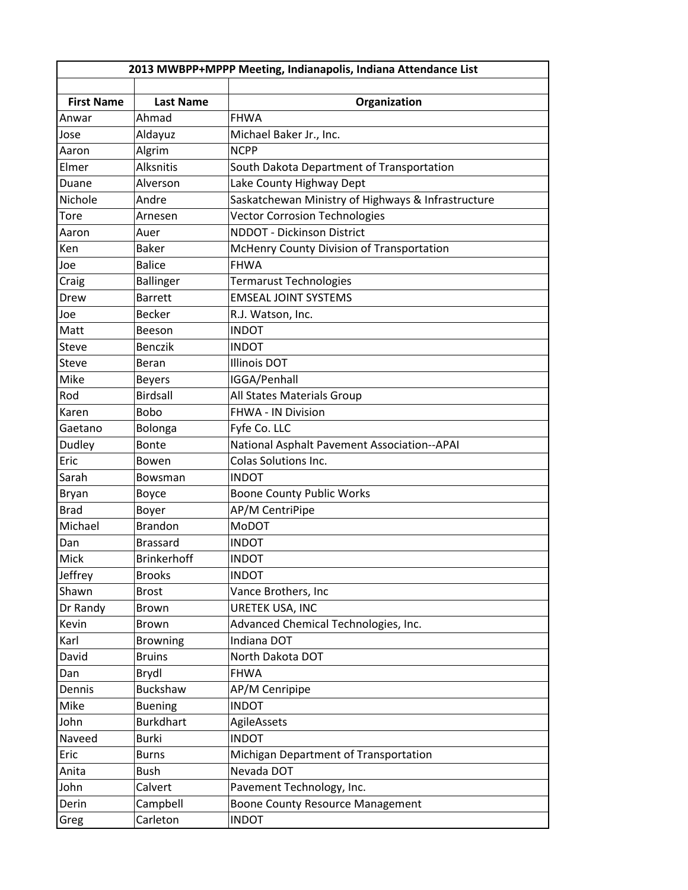| 2013 MWBPP+MPPP Meeting, Indianapolis, Indiana Attendance List |                    |                                                    |  |  |
|----------------------------------------------------------------|--------------------|----------------------------------------------------|--|--|
|                                                                |                    |                                                    |  |  |
| <b>First Name</b>                                              | <b>Last Name</b>   | Organization                                       |  |  |
| Anwar                                                          | Ahmad              | <b>FHWA</b>                                        |  |  |
| Jose                                                           | Aldayuz            | Michael Baker Jr., Inc.                            |  |  |
| Aaron                                                          | Algrim             | <b>NCPP</b>                                        |  |  |
| Elmer                                                          | <b>Alksnitis</b>   | South Dakota Department of Transportation          |  |  |
| Duane                                                          | Alverson           | Lake County Highway Dept                           |  |  |
| Nichole                                                        | Andre              | Saskatchewan Ministry of Highways & Infrastructure |  |  |
| Tore                                                           | Arnesen            | <b>Vector Corrosion Technologies</b>               |  |  |
| Aaron                                                          | Auer               | <b>NDDOT - Dickinson District</b>                  |  |  |
| Ken                                                            | <b>Baker</b>       | McHenry County Division of Transportation          |  |  |
| Joe                                                            | <b>Balice</b>      | <b>FHWA</b>                                        |  |  |
| Craig                                                          | <b>Ballinger</b>   | <b>Termarust Technologies</b>                      |  |  |
| Drew                                                           | <b>Barrett</b>     | <b>EMSEAL JOINT SYSTEMS</b>                        |  |  |
| Joe                                                            | <b>Becker</b>      | R.J. Watson, Inc.                                  |  |  |
| Matt                                                           | Beeson             | <b>INDOT</b>                                       |  |  |
| Steve                                                          | <b>Benczik</b>     | <b>INDOT</b>                                       |  |  |
| <b>Steve</b>                                                   | Beran              | <b>Illinois DOT</b>                                |  |  |
| Mike                                                           | <b>Beyers</b>      | IGGA/Penhall                                       |  |  |
| Rod                                                            | <b>Birdsall</b>    | All States Materials Group                         |  |  |
| Karen                                                          | <b>Bobo</b>        | FHWA - IN Division                                 |  |  |
| Gaetano                                                        | <b>Bolonga</b>     | Fyfe Co. LLC                                       |  |  |
| Dudley                                                         | <b>Bonte</b>       | National Asphalt Pavement Association--APAI        |  |  |
| Eric                                                           | Bowen              | <b>Colas Solutions Inc.</b>                        |  |  |
| Sarah                                                          | Bowsman            | <b>INDOT</b>                                       |  |  |
| Bryan                                                          | Boyce              | <b>Boone County Public Works</b>                   |  |  |
| <b>Brad</b>                                                    | Boyer              | AP/M CentriPipe                                    |  |  |
| Michael                                                        | <b>Brandon</b>     | MoDOT                                              |  |  |
| Dan                                                            | <b>Brassard</b>    | <b>INDOT</b>                                       |  |  |
| Mick                                                           | <b>Brinkerhoff</b> | <b>INDOT</b>                                       |  |  |
| Jeffrey                                                        | <b>Brooks</b>      | <b>INDOT</b>                                       |  |  |
| Shawn                                                          | <b>Brost</b>       | Vance Brothers, Inc                                |  |  |
| Dr Randy                                                       | Brown              | URETEK USA, INC                                    |  |  |
| Kevin                                                          | <b>Brown</b>       | Advanced Chemical Technologies, Inc.               |  |  |
| Karl                                                           | <b>Browning</b>    | Indiana DOT                                        |  |  |
| David                                                          | <b>Bruins</b>      | North Dakota DOT                                   |  |  |
| Dan                                                            | Brydl              | <b>FHWA</b>                                        |  |  |
| Dennis                                                         | Buckshaw           | AP/M Cenripipe                                     |  |  |
| Mike                                                           | <b>Buening</b>     | <b>INDOT</b>                                       |  |  |
| John                                                           | <b>Burkdhart</b>   | AgileAssets                                        |  |  |
| Naveed                                                         | Burki              | <b>INDOT</b>                                       |  |  |
| Eric                                                           | <b>Burns</b>       | Michigan Department of Transportation              |  |  |
| Anita                                                          | <b>Bush</b>        | Nevada DOT                                         |  |  |
| John                                                           | Calvert            | Pavement Technology, Inc.                          |  |  |
| Derin                                                          | Campbell           | <b>Boone County Resource Management</b>            |  |  |
| Greg                                                           | Carleton           | <b>INDOT</b>                                       |  |  |
|                                                                |                    |                                                    |  |  |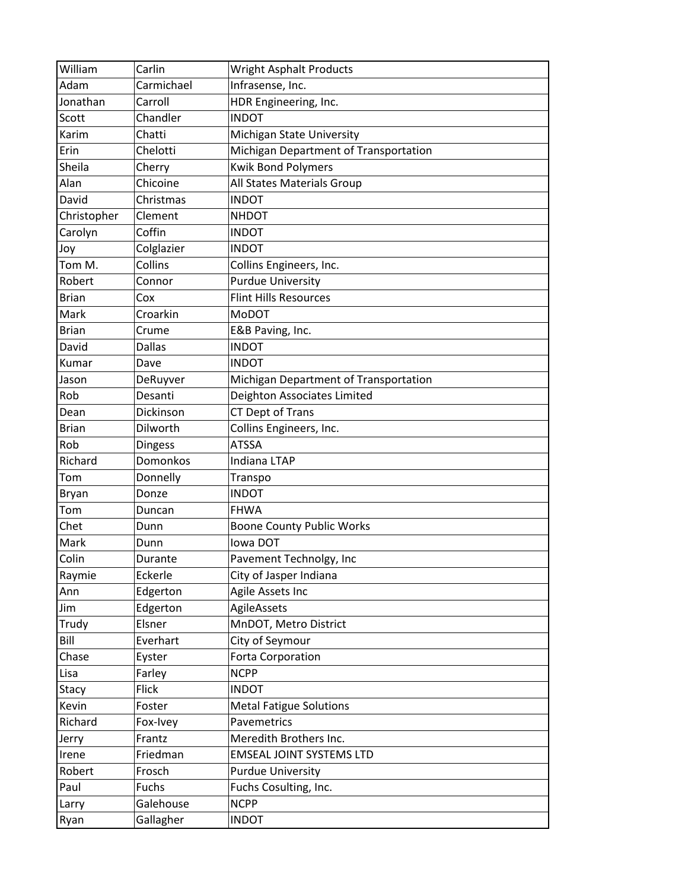| William      | Carlin         | <b>Wright Asphalt Products</b>        |
|--------------|----------------|---------------------------------------|
| Adam         | Carmichael     | Infrasense, Inc.                      |
| Jonathan     | Carroll        | HDR Engineering, Inc.                 |
| Scott        | Chandler       | <b>INDOT</b>                          |
| Karim        | Chatti         | Michigan State University             |
| Erin         | Chelotti       | Michigan Department of Transportation |
| Sheila       | Cherry         | <b>Kwik Bond Polymers</b>             |
| Alan         | Chicoine       | All States Materials Group            |
| David        | Christmas      | <b>INDOT</b>                          |
| Christopher  | Clement        | <b>NHDOT</b>                          |
| Carolyn      | Coffin         | <b>INDOT</b>                          |
| Joy          | Colglazier     | <b>INDOT</b>                          |
| Tom M.       | Collins        | Collins Engineers, Inc.               |
| Robert       | Connor         | <b>Purdue University</b>              |
| <b>Brian</b> | Cox            | <b>Flint Hills Resources</b>          |
| Mark         | Croarkin       | <b>MoDOT</b>                          |
| <b>Brian</b> | Crume          | E&B Paving, Inc.                      |
| David        | <b>Dallas</b>  | <b>INDOT</b>                          |
| Kumar        | Dave           | <b>INDOT</b>                          |
| Jason        | DeRuyver       | Michigan Department of Transportation |
| Rob          | Desanti        | Deighton Associates Limited           |
| Dean         | Dickinson      | CT Dept of Trans                      |
| <b>Brian</b> | Dilworth       | Collins Engineers, Inc.               |
| Rob          | <b>Dingess</b> | <b>ATSSA</b>                          |
| Richard      | Domonkos       | <b>Indiana LTAP</b>                   |
| Tom          | Donnelly       | Transpo                               |
| Bryan        | Donze          | <b>INDOT</b>                          |
| Tom          | Duncan         | <b>FHWA</b>                           |
| Chet         | Dunn           | <b>Boone County Public Works</b>      |
| Mark         | Dunn           | lowa DOT                              |
| Colin        | Durante        | Pavement Technolgy, Inc               |
| Raymie       | Eckerle        | City of Jasper Indiana                |
| Ann          | Edgerton       | Agile Assets Inc                      |
| Jim          | Edgerton       | AgileAssets                           |
| Trudy        | Elsner         | MnDOT, Metro District                 |
| Bill         | Everhart       | City of Seymour                       |
| Chase        | Eyster         | <b>Forta Corporation</b>              |
| Lisa         | Farley         | <b>NCPP</b>                           |
| Stacy        | <b>Flick</b>   | <b>INDOT</b>                          |
| Kevin        | Foster         | <b>Metal Fatigue Solutions</b>        |
| Richard      | Fox-Ivey       | Pavemetrics                           |
| Jerry        | Frantz         | Meredith Brothers Inc.                |
| Irene        | Friedman       | <b>EMSEAL JOINT SYSTEMS LTD</b>       |
| Robert       | Frosch         | <b>Purdue University</b>              |
| Paul         | Fuchs          | Fuchs Cosulting, Inc.                 |
| Larry        | Galehouse      | <b>NCPP</b>                           |
| Ryan         | Gallagher      | <b>INDOT</b>                          |
|              |                |                                       |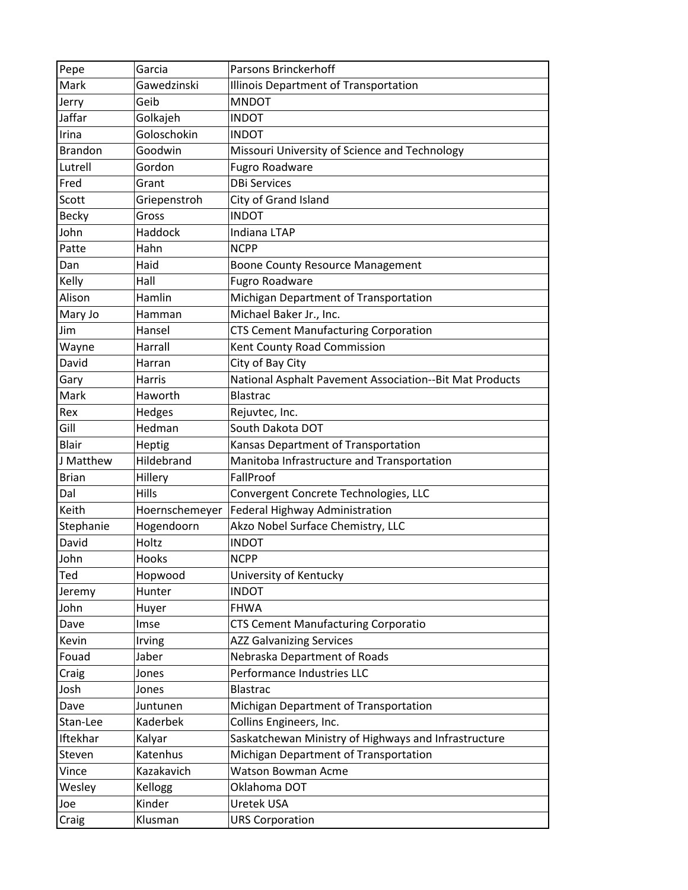| Pepe           | Garcia         | Parsons Brinckerhoff                                    |
|----------------|----------------|---------------------------------------------------------|
| Mark           | Gawedzinski    | Illinois Department of Transportation                   |
| Jerry          | Geib           | <b>MNDOT</b>                                            |
| Jaffar         | Golkajeh       | <b>INDOT</b>                                            |
| Irina          | Goloschokin    | <b>INDOT</b>                                            |
| <b>Brandon</b> | Goodwin        | Missouri University of Science and Technology           |
| Lutrell        | Gordon         | <b>Fugro Roadware</b>                                   |
| Fred           | Grant          | <b>DBi Services</b>                                     |
| Scott          | Griepenstroh   | City of Grand Island                                    |
| <b>Becky</b>   | Gross          | <b>INDOT</b>                                            |
| John           | Haddock        | <b>Indiana LTAP</b>                                     |
| Patte          | Hahn           | <b>NCPP</b>                                             |
| Dan            | Haid           | <b>Boone County Resource Management</b>                 |
| Kelly          | Hall           | <b>Fugro Roadware</b>                                   |
| Alison         | Hamlin         | Michigan Department of Transportation                   |
| Mary Jo        | Hamman         | Michael Baker Jr., Inc.                                 |
| Jim            | Hansel         | <b>CTS Cement Manufacturing Corporation</b>             |
| Wayne          | Harrall        | Kent County Road Commission                             |
| David          | Harran         | City of Bay City                                        |
| Gary           | Harris         | National Asphalt Pavement Association--Bit Mat Products |
| Mark           | Haworth        | <b>Blastrac</b>                                         |
| Rex            | Hedges         | Rejuvtec, Inc.                                          |
| Gill           | Hedman         | South Dakota DOT                                        |
| Blair          | Heptig         | Kansas Department of Transportation                     |
| J Matthew      | Hildebrand     | Manitoba Infrastructure and Transportation              |
| <b>Brian</b>   | Hillery        | FallProof                                               |
| Dal            | Hills          | Convergent Concrete Technologies, LLC                   |
| Keith          | Hoernschemeyer | Federal Highway Administration                          |
| Stephanie      | Hogendoorn     | Akzo Nobel Surface Chemistry, LLC                       |
| David          | Holtz          | <b>INDOT</b>                                            |
| John           | Hooks          | <b>NCPP</b>                                             |
| Ted            | Hopwood        | University of Kentucky                                  |
| Jeremy         | Hunter         | <b>INDOT</b>                                            |
| John           | Huyer          | <b>FHWA</b>                                             |
| Dave           | Imse           | <b>CTS Cement Manufacturing Corporatio</b>              |
| Kevin          | Irving         | <b>AZZ Galvanizing Services</b>                         |
| Fouad          | Jaber          | Nebraska Department of Roads                            |
| Craig          | Jones          | Performance Industries LLC                              |
| Josh           | Jones          | Blastrac                                                |
| Dave           | Juntunen       | Michigan Department of Transportation                   |
| Stan-Lee       | Kaderbek       | Collins Engineers, Inc.                                 |
| Iftekhar       | Kalyar         | Saskatchewan Ministry of Highways and Infrastructure    |
| Steven         | Katenhus       | Michigan Department of Transportation                   |
| Vince          | Kazakavich     | Watson Bowman Acme                                      |
| Wesley         | Kellogg        | Oklahoma DOT                                            |
| Joe            | Kinder         | Uretek USA                                              |
| Craig          | Klusman        | <b>URS Corporation</b>                                  |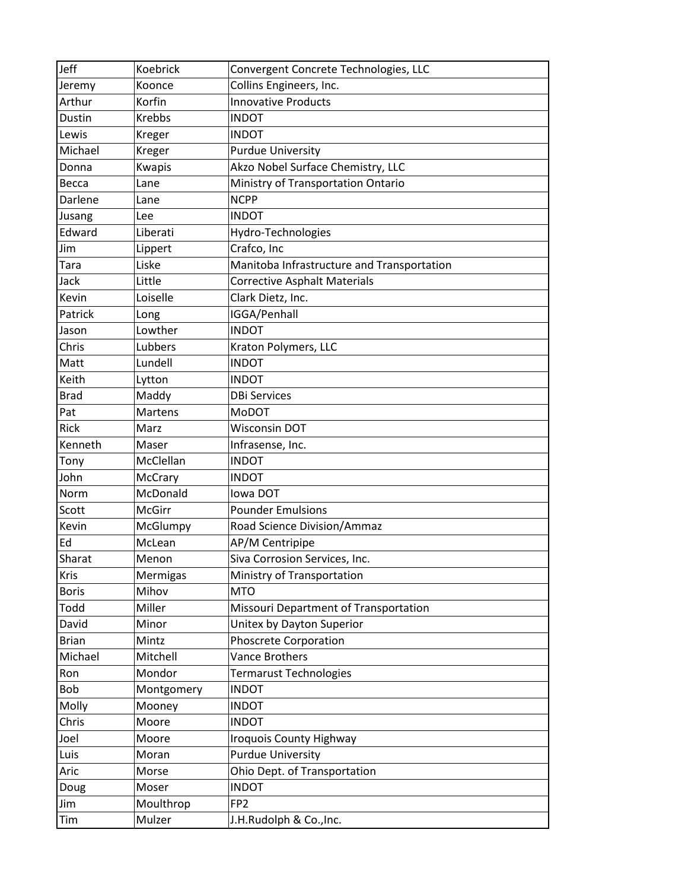| Koebrick       | Convergent Concrete Technologies, LLC      |
|----------------|--------------------------------------------|
| Koonce         | Collins Engineers, Inc.                    |
| Korfin         | <b>Innovative Products</b>                 |
| <b>Krebbs</b>  | <b>INDOT</b>                               |
| Kreger         | <b>INDOT</b>                               |
| Kreger         | <b>Purdue University</b>                   |
| Kwapis         | Akzo Nobel Surface Chemistry, LLC          |
| Lane           | Ministry of Transportation Ontario         |
| Lane           | <b>NCPP</b>                                |
| Lee            | <b>INDOT</b>                               |
| Liberati       | Hydro-Technologies                         |
| Lippert        | Crafco, Inc                                |
| Liske          | Manitoba Infrastructure and Transportation |
| Little         | <b>Corrective Asphalt Materials</b>        |
| Loiselle       | Clark Dietz, Inc.                          |
| Long           | IGGA/Penhall                               |
| Lowther        | <b>INDOT</b>                               |
| Lubbers        | Kraton Polymers, LLC                       |
| Lundell        | <b>INDOT</b>                               |
| Lytton         | <b>INDOT</b>                               |
| Maddy          | <b>DBi Services</b>                        |
| <b>Martens</b> | MoDOT                                      |
| Marz           | <b>Wisconsin DOT</b>                       |
| Maser          | Infrasense, Inc.                           |
| McClellan      | <b>INDOT</b>                               |
| McCrary        | <b>INDOT</b>                               |
| McDonald       | lowa DOT                                   |
| McGirr         | <b>Pounder Emulsions</b>                   |
| McGlumpy       | Road Science Division/Ammaz                |
| McLean         | AP/M Centripipe                            |
| Menon          | Siva Corrosion Services, Inc.              |
| Mermigas       | Ministry of Transportation                 |
| Mihov          | <b>MTO</b>                                 |
| Miller         | Missouri Department of Transportation      |
| Minor          | Unitex by Dayton Superior                  |
| Mintz          | <b>Phoscrete Corporation</b>               |
| Mitchell       | <b>Vance Brothers</b>                      |
| Mondor         | <b>Termarust Technologies</b>              |
| Montgomery     | <b>INDOT</b>                               |
| Mooney         | <b>INDOT</b>                               |
| Moore          | <b>INDOT</b>                               |
| Moore          | <b>Iroquois County Highway</b>             |
| Moran          | <b>Purdue University</b>                   |
| Morse          | Ohio Dept. of Transportation               |
|                | <b>INDOT</b>                               |
| Moser          |                                            |
| Moulthrop      | FP <sub>2</sub>                            |
|                |                                            |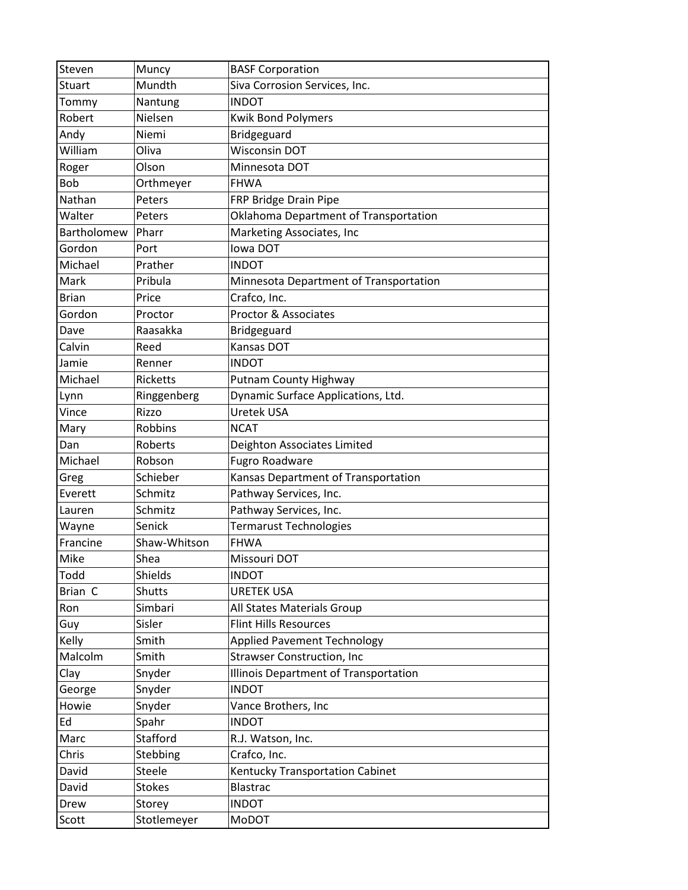| Steven        | Muncy           | <b>BASF Corporation</b>                |
|---------------|-----------------|----------------------------------------|
| <b>Stuart</b> | Mundth          | Siva Corrosion Services, Inc.          |
| Tommy         | Nantung         | <b>INDOT</b>                           |
| Robert        | Nielsen         | <b>Kwik Bond Polymers</b>              |
| Andy          | Niemi           | Bridgeguard                            |
| William       | Oliva           | <b>Wisconsin DOT</b>                   |
| Roger         | Olson           | Minnesota DOT                          |
| <b>Bob</b>    | Orthmeyer       | <b>FHWA</b>                            |
| Nathan        | Peters          | FRP Bridge Drain Pipe                  |
| Walter        | Peters          | Oklahoma Department of Transportation  |
| Bartholomew   | Pharr           | Marketing Associates, Inc              |
| Gordon        | Port            | <b>Iowa DOT</b>                        |
| Michael       | Prather         | <b>INDOT</b>                           |
| Mark          | Pribula         | Minnesota Department of Transportation |
| <b>Brian</b>  | Price           | Crafco, Inc.                           |
| Gordon        | Proctor         | <b>Proctor &amp; Associates</b>        |
| Dave          | Raasakka        | Bridgeguard                            |
| Calvin        | Reed            | Kansas DOT                             |
| Jamie         | Renner          | <b>INDOT</b>                           |
| Michael       | <b>Ricketts</b> | Putnam County Highway                  |
| Lynn          | Ringgenberg     | Dynamic Surface Applications, Ltd.     |
| Vince         | Rizzo           | Uretek USA                             |
| Mary          | <b>Robbins</b>  | <b>NCAT</b>                            |
| Dan           | Roberts         |                                        |
|               |                 | Deighton Associates Limited            |
| Michael       | Robson          | <b>Fugro Roadware</b>                  |
| Greg          | Schieber        | Kansas Department of Transportation    |
| Everett       | Schmitz         | Pathway Services, Inc.                 |
| Lauren        | Schmitz         | Pathway Services, Inc.                 |
| Wayne         | Senick          | <b>Termarust Technologies</b>          |
| Francine      | Shaw-Whitson    | <b>FHWA</b>                            |
| Mike          | Shea            | Missouri DOT                           |
| Todd          | Shields         | <b>INDOT</b>                           |
| Brian C       | Shutts          | <b>URETEK USA</b>                      |
| Ron           | Simbari         | All States Materials Group             |
| Guy           | Sisler          | <b>Flint Hills Resources</b>           |
| Kelly         | Smith           | <b>Applied Pavement Technology</b>     |
| Malcolm       | Smith           | <b>Strawser Construction, Inc</b>      |
| Clay          | Snyder          | Illinois Department of Transportation  |
| George        | Snyder          | <b>INDOT</b>                           |
| Howie         | Snyder          | Vance Brothers, Inc                    |
| Ed            | Spahr           | <b>INDOT</b>                           |
| Marc          | Stafford        | R.J. Watson, Inc.                      |
| Chris         | Stebbing        | Crafco, Inc.                           |
| David         | Steele          | Kentucky Transportation Cabinet        |
| David         | <b>Stokes</b>   | <b>Blastrac</b>                        |
| Drew          | Storey          | <b>INDOT</b>                           |
| Scott         | Stotlemeyer     | MoDOT                                  |
|               |                 |                                        |